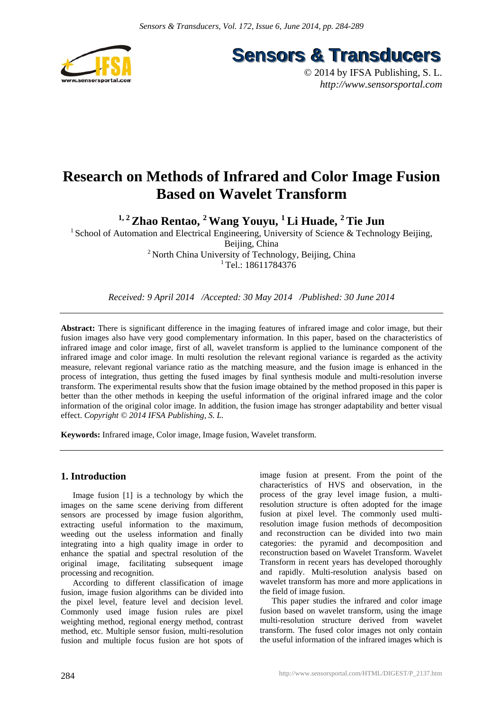

**Sensors & Transducers** 

© 2014 by IFSA Publishing, S. L. *http://www.sensorsportal.com*

# **Research on Methods of Infrared and Color Image Fusion Based on Wavelet Transform**

**1, 2 Zhao Rentao, 2 Wang Youyu, 1 Li Huade, 2 Tie Jun** 

<sup>1</sup> School of Automation and Electrical Engineering, University of Science & Technology Beijing, Beijing, China <sup>2</sup> North China University of Technology, Beijing, China

<sup>1</sup> Tel.: 18611784376

*Received: 9 April 2014 /Accepted: 30 May 2014 /Published: 30 June 2014* 

**Abstract:** There is significant difference in the imaging features of infrared image and color image, but their fusion images also have very good complementary information. In this paper, based on the characteristics of infrared image and color image, first of all, wavelet transform is applied to the luminance component of the infrared image and color image. In multi resolution the relevant regional variance is regarded as the activity measure, relevant regional variance ratio as the matching measure, and the fusion image is enhanced in the process of integration, thus getting the fused images by final synthesis module and multi-resolution inverse transform. The experimental results show that the fusion image obtained by the method proposed in this paper is better than the other methods in keeping the useful information of the original infrared image and the color information of the original color image. In addition, the fusion image has stronger adaptability and better visual effect. *Copyright © 2014 IFSA Publishing, S. L.*

**Keywords:** Infrared image, Color image, Image fusion, Wavelet transform.

# **1. Introduction**

Image fusion [1] is a technology by which the images on the same scene deriving from different sensors are processed by image fusion algorithm, extracting useful information to the maximum, weeding out the useless information and finally integrating into a high quality image in order to enhance the spatial and spectral resolution of the original image, facilitating subsequent image processing and recognition.

According to different classification of image fusion, image fusion algorithms can be divided into the pixel level, feature level and decision level. Commonly used image fusion rules are pixel weighting method, regional energy method, contrast method, etc. Multiple sensor fusion, multi-resolution fusion and multiple focus fusion are hot spots of image fusion at present. From the point of the characteristics of HVS and observation, in the process of the gray level image fusion, a multiresolution structure is often adopted for the image fusion at pixel level. The commonly used multiresolution image fusion methods of decomposition and reconstruction can be divided into two main categories: the pyramid and decomposition and reconstruction based on Wavelet Transform. Wavelet Transform in recent years has developed thoroughly and rapidly. Multi-resolution analysis based on wavelet transform has more and more applications in the field of image fusion.

This paper studies the infrared and color image fusion based on wavelet transform, using the image multi-resolution structure derived from wavelet transform. The fused color images not only contain the useful information of the infrared images which is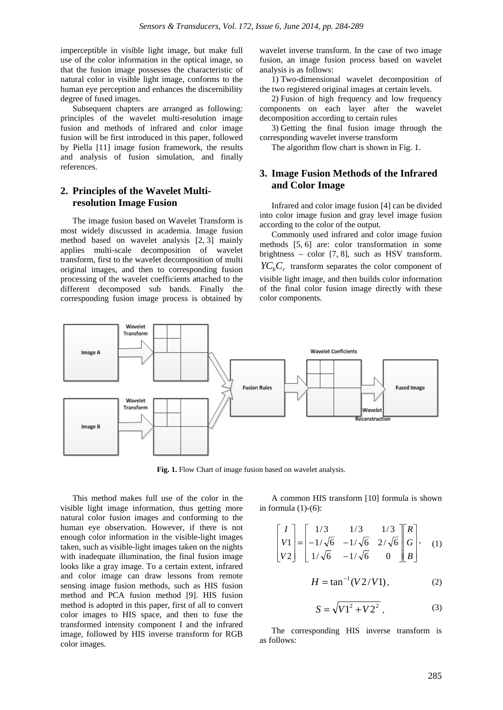imperceptible in visible light image, but make full use of the color information in the optical image, so that the fusion image possesses the characteristic of natural color in visible light image, conforms to the human eye perception and enhances the discernibility degree of fused images.

Subsequent chapters are arranged as following: principles of the wavelet multi-resolution image fusion and methods of infrared and color image fusion will be first introduced in this paper, followed by Piella [11] image fusion framework, the results and analysis of fusion simulation, and finally references.

# **2. Principles of the Wavelet Multiresolution Image Fusion**

The image fusion based on Wavelet Transform is most widely discussed in academia. Image fusion method based on wavelet analysis [2, 3] mainly applies multi-scale decomposition of wavelet transform, first to the wavelet decomposition of multi original images, and then to corresponding fusion processing of the wavelet coefficients attached to the different decomposed sub bands. Finally the corresponding fusion image process is obtained by

wavelet inverse transform. In the case of two image fusion, an image fusion process based on wavelet analysis is as follows:

1) Two-dimensional wavelet decomposition of the two registered original images at certain levels.

2) Fusion of high frequency and low frequency components on each layer after the wavelet decomposition according to certain rules

3) Getting the final fusion image through the corresponding wavelet inverse transform

The algorithm flow chart is shown in Fig. 1.

## **3. Image Fusion Methods of the Infrared and Color Image**

Infrared and color image fusion [4] can be divided into color image fusion and gray level image fusion according to the color of the output.

Commonly used infrared and color image fusion methods [5, 6] are: color transformation in some brightness – color [7, 8], such as HSV transform.  $\chi_{C_b} C_r$  transform separates the color component of visible light image, and then builds color information of the final color fusion image directly with these color components.



**Fig. 1.** Flow Chart of image fusion based on wavelet analysis.

This method makes full use of the color in the visible light image information, thus getting more natural color fusion images and conforming to the human eye observation. However, if there is not enough color information in the visible-light images taken, such as visible-light images taken on the nights with inadequate illumination, the final fusion image looks like a gray image. To a certain extent, infrared and color image can draw lessons from remote sensing image fusion methods, such as HIS fusion method and PCA fusion method [9]. HIS fusion method is adopted in this paper, first of all to convert color images to HIS space, and then to fuse the transformed intensity component I and the infrared image, followed by HIS inverse transform for RGB color images.

A common HIS transform [10] formula is shown in formula  $(1)-(6)$ :

$$
\begin{bmatrix} I \\ V1 \\ V2 \end{bmatrix} = \begin{bmatrix} 1/3 & 1/3 & 1/3 \\ -1/\sqrt{6} & -1/\sqrt{6} & 2/\sqrt{6} \\ 1/\sqrt{6} & -1/\sqrt{6} & 0 \end{bmatrix} \begin{bmatrix} R \\ G \\ B \end{bmatrix}, \quad (1)
$$

$$
H = \tan^{-1}(V2/V1),
$$
 (2)

$$
S = \sqrt{V1^2 + V2^2},
$$
 (3)

The corresponding HIS inverse transform is as follows: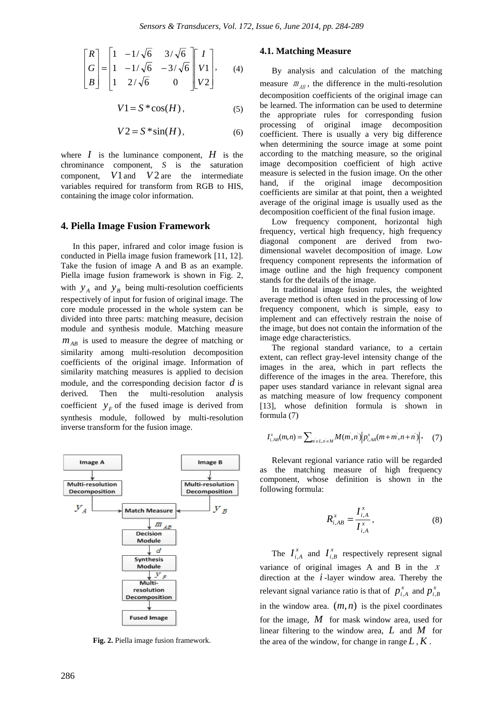$$
\begin{bmatrix} R \\ G \\ B \end{bmatrix} = \begin{bmatrix} 1 & -1/\sqrt{6} & 3/\sqrt{6} \\ 1 & -1/\sqrt{6} & -3/\sqrt{6} \\ 1 & 2/\sqrt{6} & 0 \end{bmatrix} \begin{bmatrix} I \\ V1 \\ V2 \end{bmatrix}, \quad (4)
$$

$$
V1 = S * \cos(H), \tag{5}
$$

$$
V2 = S * sin(H), \tag{6}
$$

where  $I$  is the luminance component,  $H$  is the chrominance component, *S* is the saturation component, V1 and V2 are the intermediate variables required for transform from RGB to HIS, containing the image color information.

#### **4. Piella Image Fusion Framework**

In this paper, infrared and color image fusion is conducted in Piella image fusion framework [11, 12]. Take the fusion of image A and B as an example. Piella image fusion framework is shown in Fig. 2, with  $y_A$  and  $y_B$  being multi-resolution coefficients respectively of input for fusion of original image. The core module processed in the whole system can be divided into three parts: matching measure, decision module and synthesis module. Matching measure  $m_{AB}$  is used to measure the degree of matching or similarity among multi-resolution decomposition coefficients of the original image. Information of similarity matching measures is applied to decision module, and the corresponding decision factor *d* is derived. Then the multi-resolution analysis coefficient  $y_F$  of the fused image is derived from synthesis module, followed by multi-resolution inverse transform for the fusion image.



**Fig. 2.** Piella image fusion framework.

#### **4.1. Matching Measure**

By analysis and calculation of the matching measure  $m_{AB}$ , the difference in the multi-resolution decomposition coefficients of the original image can be learned. The information can be used to determine the appropriate rules for corresponding fusion processing of original image decomposition coefficient. There is usually a very big difference when determining the source image at some point according to the matching measure, so the original image decomposition coefficient of high active measure is selected in the fusion image. On the other hand, if the original image decomposition coefficients are similar at that point, then a weighted average of the original image is usually used as the decomposition coefficient of the final fusion image.

Low frequency component, horizontal high frequency, vertical high frequency, high frequency diagonal component are derived from twodimensional wavelet decomposition of image. Low frequency component represents the information of image outline and the high frequency component stands for the details of the image.

In traditional image fusion rules, the weighted average method is often used in the processing of low frequency component, which is simple, easy to implement and can effectively restrain the noise of the image, but does not contain the information of the image edge characteristics.

The regional standard variance, to a certain extent, can reflect gray-level intensity change of the images in the area, which in part reflects the difference of the images in the area. Therefore, this paper uses standard variance in relevant signal area as matching measure of low frequency component [13], whose definition formula is shown in formula (7)

$$
I_{i,AB}^x(m,n) = \sum_{m \in L, n \in M} M(m,n) \Big| p_{i,AB}^x(m+m,n+n) \Big|, \quad (7)
$$

Relevant regional variance ratio will be regarded as the matching measure of high frequency component, whose definition is shown in the following formula:

$$
R_{i,AB}^x = \frac{I_{i,A}^x}{I_{i,A}^x},
$$
 (8)

The  $I_{i,A}^x$  and  $I_{i,B}^x$  respectively represent signal variance of original images A and B in the  $X$ direction at the *i* -layer window area. Thereby the relevant signal variance ratio is that of  $p_{i,A}^x$  and  $p_{i,B}^x$ in the window area.  $(m, n)$  is the pixel coordinates for the image, *M* for mask window area, used for linear filtering to the window area, *L* and *M* for the area of the window, for change in range  $L, K$ .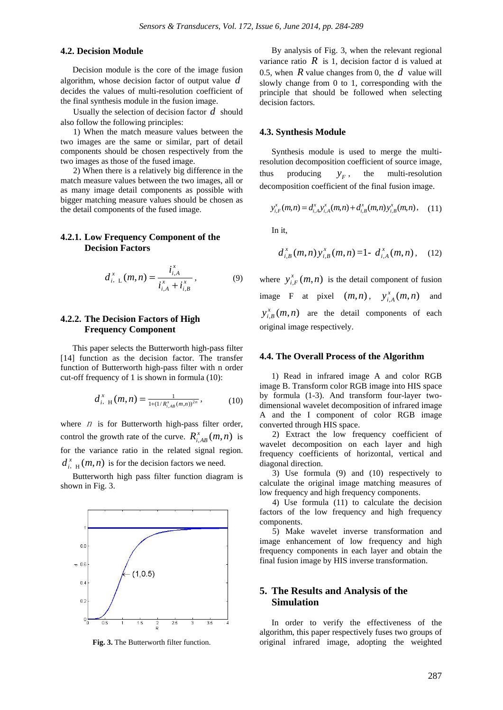## **4.2. Decision Module**

Decision module is the core of the image fusion algorithm, whose decision factor of output value *d* decides the values of multi-resolution coefficient of the final synthesis module in the fusion image.

Usually the selection of decision factor *d* should also follow the following principles:

1) When the match measure values between the two images are the same or similar, part of detail components should be chosen respectively from the two images as those of the fused image.

2) When there is a relatively big difference in the match measure values between the two images, all or as many image detail components as possible with bigger matching measure values should be chosen as the detail components of the fused image.

## **4.2.1. Low Frequency Component of the Decision Factors**

$$
d_{i, L}^{x}(m, n) = \frac{i_{i, A}^{x}}{i_{i, A}^{x} + i_{i, B}^{x}},
$$
 (9)

## **4.2.2. The Decision Factors of High Frequency Component**

This paper selects the Butterworth high-pass filter [14] function as the decision factor. The transfer function of Butterworth high-pass filter with n order cut-off frequency of 1 is shown in formula (10):

$$
d_{i, H}^{x}(m, n) = \frac{1}{1 + (1/R_{i, AB}^{x}(m, n))^{2n}}, \qquad (10)
$$

where  $n$  is for Butterworth high-pass filter order, control the growth rate of the curve.  $R_{i, AB}^x(m, n)$  is for the variance ratio in the related signal region.  $d_{i, H}^{x}(m, n)$  is for the decision factors we need.

Butterworth high pass filter function diagram is shown in Fig. 3.



**Fig. 3.** The Butterworth filter function.

By analysis of Fig. 3, when the relevant regional variance ratio  $R$  is 1, decision factor d is valued at 0.5, when *R* value changes from 0, the *d* value will slowly change from 0 to 1, corresponding with the principle that should be followed when selecting decision factors.

#### **4.3. Synthesis Module**

Synthesis module is used to merge the multiresolution decomposition coefficient of source image, thus producing  $y_F$ , the multi-resolution decomposition coefficient of the final fusion image.

$$
y_{i,F}^x(m,n) = d_{i,A}^x y_{i,A}^x(m,n) + d_{i,B}^x(m,n) y_{i,B}^x(m,n), \quad (11)
$$

In it,

$$
d_{i,B}^{x}(m,n)y_{i,B}^{x}(m,n)=1-d_{i,A}^{x}(m,n), \quad (12)
$$

where  $y_{i,F}^x(m, n)$  is the detail component of fusion image F at pixel  $(m,n)$ ,  $y_{i,A}^x(m,n)$  and  $y_{i, B}^x(m, n)$  are the detail components of each original image respectively.

#### **4.4. The Overall Process of the Algorithm**

1) Read in infrared image A and color RGB image B. Transform color RGB image into HIS space by formula (1-3). And transform four-layer twodimensional wavelet decomposition of infrared image A and the I component of color RGB image converted through HIS space.

2) Extract the low frequency coefficient of wavelet decomposition on each layer and high frequency coefficients of horizontal, vertical and diagonal direction.

3) Use formula (9) and (10) respectively to calculate the original image matching measures of low frequency and high frequency components.

4) Use formula (11) to calculate the decision factors of the low frequency and high frequency components.

5) Make wavelet inverse transformation and image enhancement of low frequency and high frequency components in each layer and obtain the final fusion image by HIS inverse transformation.

## **5. The Results and Analysis of the Simulation**

In order to verify the effectiveness of the algorithm, this paper respectively fuses two groups of original infrared image, adopting the weighted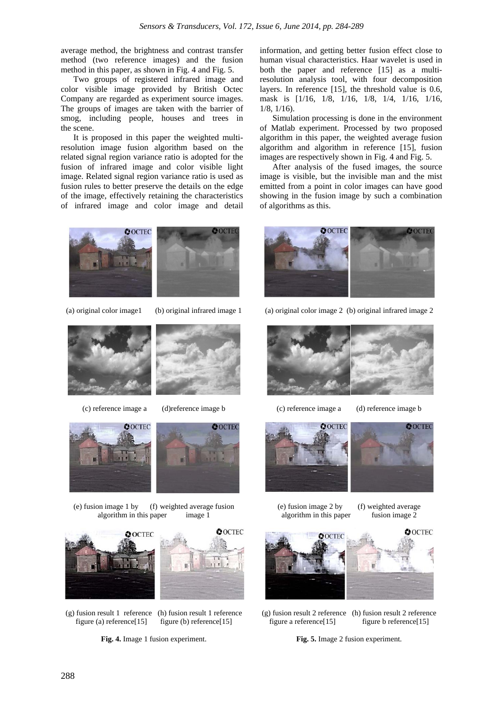average method, the brightness and contrast transfer method (two reference images) and the fusion method in this paper, as shown in Fig. 4 and Fig. 5.

Two groups of registered infrared image and color visible image provided by British Octec Company are regarded as experiment source images. The groups of images are taken with the barrier of smog, including people, houses and trees in the scene.

It is proposed in this paper the weighted multiresolution image fusion algorithm based on the related signal region variance ratio is adopted for the fusion of infrared image and color visible light image. Related signal region variance ratio is used as fusion rules to better preserve the details on the edge of the image, effectively retaining the characteristics of infrared image and color image and detail



Simulation processing is done in the environment of Matlab experiment. Processed by two proposed algorithm in this paper, the weighted average fusion algorithm and algorithm in reference [15], fusion images are respectively shown in Fig. 4 and Fig. 5.

After analysis of the fused images, the source image is visible, but the invisible man and the mist emitted from a point in color images can have good showing in the fusion image by such a combination of algorithms as this.





**Fig. 4.** Image 1 fusion experiment.



(a) original color image 2 (b) original infrared image 2







(g) fusion result 2 reference (h) fusion result 2 reference figure a reference $[15]$  figure b reference $[15]$ 

**Fig. 5.** Image 2 fusion experiment.